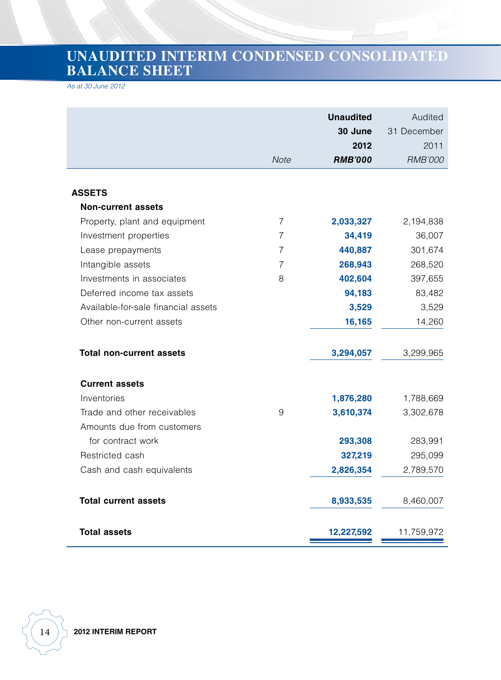# **UNAUDITED INTERIM CONDENSED CONSOLIDATED BALANCE SHEET**

*As at 30 June 2012*

|                                     |                | <b>Unaudited</b><br>30 June<br>2012 | Audited<br>31 December<br>2011 |
|-------------------------------------|----------------|-------------------------------------|--------------------------------|
|                                     | Note           | <b>RMB'000</b>                      | <b>RMB'000</b>                 |
|                                     |                |                                     |                                |
| <b>ASSETS</b>                       |                |                                     |                                |
| <b>Non-current assets</b>           |                |                                     |                                |
| Property, plant and equipment       | $\overline{7}$ | 2,033,327                           | 2,194,838                      |
| Investment properties               | 7              | 34,419                              | 36,007                         |
| Lease prepayments                   | 7              | 440,887                             | 301,674                        |
| Intangible assets                   | 7              | 268,943                             | 268,520                        |
| Investments in associates           | 8              | 402,604                             | 397,655                        |
| Deferred income tax assets          |                | 94,183                              | 83,482                         |
| Available-for-sale financial assets |                | 3,529                               | 3,529                          |
| Other non-current assets            |                | 16,165                              | 14,260                         |
| <b>Total non-current assets</b>     |                | 3,294,057                           | 3,299,965                      |
| <b>Current assets</b>               |                |                                     |                                |
| Inventories                         |                | 1,876,280                           | 1,788,669                      |
| Trade and other receivables         | 9              | 3,610,374                           | 3,302,678                      |
| Amounts due from customers          |                |                                     |                                |
| for contract work                   |                | 293,308                             | 283,991                        |
| Restricted cash                     |                | 327,219                             | 295,099                        |
| Cash and cash equivalents           |                | 2,826,354                           | 2,789,570                      |
| <b>Total current assets</b>         |                | 8,933,535                           | 8,460,007                      |
| <b>Total assets</b>                 |                | 12,227,592                          | 11,759,972                     |

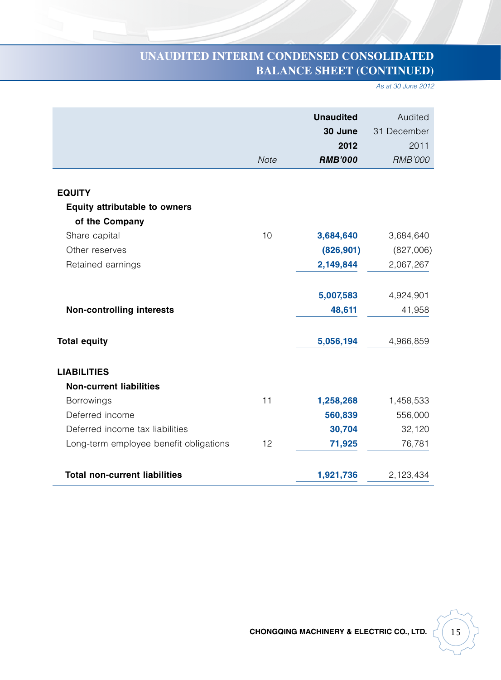## **UNAUDITED INTERIM CONDENSED CONSOLIDATED BALANCE SHEET (CONTINUED)**

*As at 30 June 2012*

|                                        | Note | <b>Unaudited</b><br>30 June<br>2012<br><b>RMB'000</b> | Audited<br>31 December<br>2011<br><b>RMB'000</b> |
|----------------------------------------|------|-------------------------------------------------------|--------------------------------------------------|
|                                        |      |                                                       |                                                  |
| <b>EQUITY</b>                          |      |                                                       |                                                  |
| <b>Equity attributable to owners</b>   |      |                                                       |                                                  |
| of the Company                         |      |                                                       |                                                  |
| Share capital                          | 10   | 3,684,640                                             | 3,684,640                                        |
| Other reserves                         |      | (826, 901)                                            | (827,006)                                        |
| Retained earnings                      |      | 2,149,844                                             | 2,067,267                                        |
|                                        |      |                                                       |                                                  |
|                                        |      | 5,007,583                                             | 4,924,901                                        |
| <b>Non-controlling interests</b>       |      | 48,611                                                | 41,958                                           |
|                                        |      |                                                       |                                                  |
| <b>Total equity</b>                    |      | 5,056,194                                             | 4,966,859                                        |
|                                        |      |                                                       |                                                  |
| <b>LIABILITIES</b>                     |      |                                                       |                                                  |
| <b>Non-current liabilities</b>         |      |                                                       |                                                  |
| <b>Borrowings</b>                      | 11   | 1,258,268                                             | 1,458,533                                        |
| Deferred income                        |      | 560,839                                               | 556,000                                          |
| Deferred income tax liabilities        |      | 30,704                                                | 32,120                                           |
| Long-term employee benefit obligations | 12   | 71,925                                                | 76,781                                           |
|                                        |      |                                                       |                                                  |
| <b>Total non-current liabilities</b>   |      | 1,921,736                                             | 2,123,434                                        |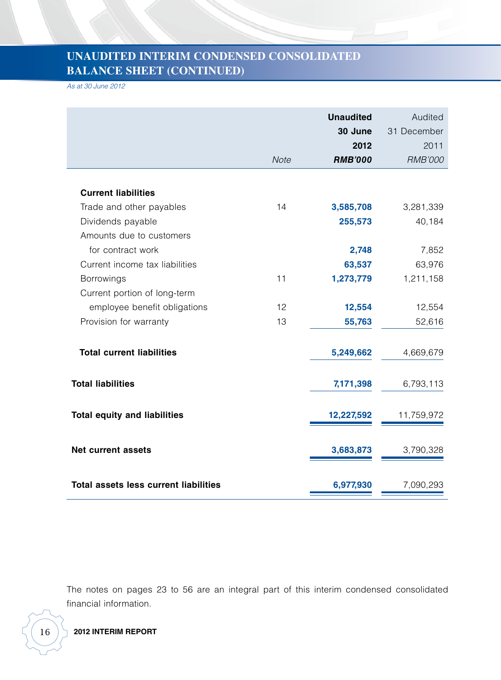### **UNAUDITED INTERIM CONDENSED CONSOLIDATED BALANCE SHEET (CONTINUED)**

*As at 30 June 2012*

|                                              | <b>Note</b> | <b>Unaudited</b><br>30 June<br>2012<br><b>RMB'000</b> | Audited<br>31 December<br>2011<br><b>RMB'000</b> |
|----------------------------------------------|-------------|-------------------------------------------------------|--------------------------------------------------|
|                                              |             |                                                       |                                                  |
| <b>Current liabilities</b>                   |             |                                                       |                                                  |
| Trade and other payables                     | 14          | 3,585,708                                             | 3,281,339                                        |
| Dividends payable                            |             | 255,573                                               | 40,184                                           |
| Amounts due to customers                     |             |                                                       |                                                  |
| for contract work                            |             | 2,748                                                 | 7,852                                            |
| Current income tax liabilities               |             | 63,537                                                | 63,976                                           |
| <b>Borrowings</b>                            | 11          | 1,273,779                                             | 1,211,158                                        |
| Current portion of long-term                 |             |                                                       |                                                  |
| employee benefit obligations                 | 12          | 12,554                                                | 12,554                                           |
| Provision for warranty                       | 13          | 55,763                                                | 52,616                                           |
| <b>Total current liabilities</b>             |             | 5,249,662                                             | 4,669,679                                        |
| <b>Total liabilities</b>                     |             | 7,171,398                                             | 6,793,113                                        |
| <b>Total equity and liabilities</b>          |             | 12,227,592                                            | 11,759,972                                       |
| <b>Net current assets</b>                    |             | 3,683,873                                             | 3,790,328                                        |
| <b>Total assets less current liabilities</b> |             | 6,977,930                                             | 7,090,293                                        |

The notes on pages 23 to 56 are an integral part of this interim condensed consolidated financial information.



16 **2012 INTERIM REPORT**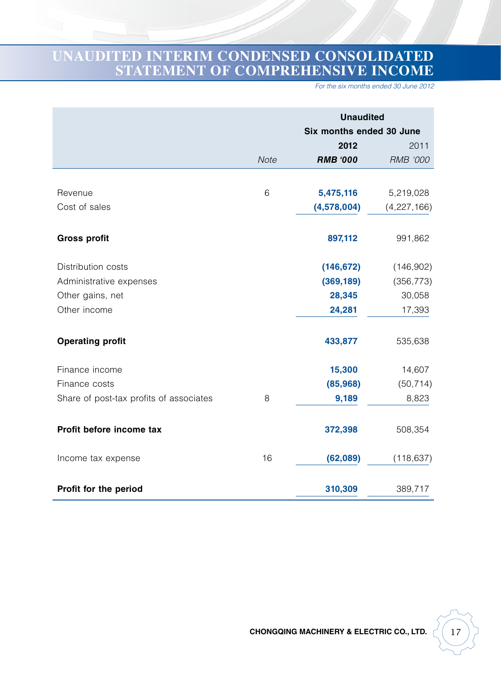## **UNAUDITED INTERIM CONDENSED CONSOLIDATED STATEMENT OF COMPREHENSIVE INCOME**

*For the six months ended 30 June 2012*

|                                         |             | <b>Unaudited</b>         |                 |  |
|-----------------------------------------|-------------|--------------------------|-----------------|--|
|                                         |             | Six months ended 30 June |                 |  |
|                                         |             | 2012                     | 2011            |  |
|                                         | <b>Note</b> | <b>RMB '000</b>          | <b>RMB '000</b> |  |
|                                         |             |                          |                 |  |
| Revenue                                 | 6           | 5,475,116                | 5,219,028       |  |
| Cost of sales                           |             | (4,578,004)              | (4,227,166)     |  |
| <b>Gross profit</b>                     |             | 897,112                  | 991,862         |  |
| Distribution costs                      |             | (146, 672)               | (146,902)       |  |
| Administrative expenses                 |             | (369, 189)               | (356, 773)      |  |
| Other gains, net                        |             | 28,345                   | 30,058          |  |
| Other income                            |             | 24,281                   | 17,393          |  |
| <b>Operating profit</b>                 |             | 433,877                  | 535,638         |  |
| Finance income                          |             | 15,300                   | 14,607          |  |
| Finance costs                           |             | (85,968)                 | (50, 714)       |  |
| Share of post-tax profits of associates | 8           | 9,189                    | 8,823           |  |
| Profit before income tax                |             | 372,398                  | 508,354         |  |
| Income tax expense                      | 16          | (62,089)                 | (118, 637)      |  |
| Profit for the period                   |             | 310,309                  | 389,717         |  |

**CHONGQING MACHINERY & ELECTRIC CO., LTD.**  $\begin{bmatrix} 1 & 1 & 1 \\ 1 & 1 & 1 \\ 1 & 1 & 1 \end{bmatrix}$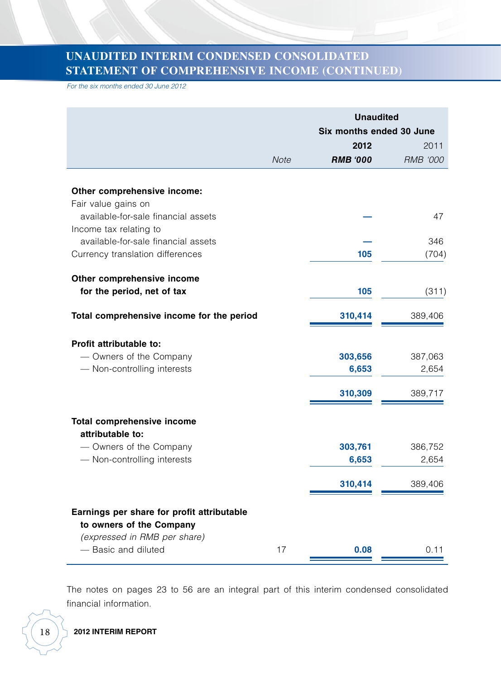#### **UNAUDITED INTERIM CONDENSED CONSOLIDATED STATEMENT OF COMPREHENSIVE INCOME (CONTINUED)**

*For the six months ended 30 June 2012*

|                                                                         |             | <b>Unaudited</b><br>Six months ended 30 June |                  |  |
|-------------------------------------------------------------------------|-------------|----------------------------------------------|------------------|--|
|                                                                         |             | 2012<br>2011                                 |                  |  |
|                                                                         | <b>Note</b> | <b>RMB '000</b>                              | <b>RMB '000</b>  |  |
| Other comprehensive income:<br>Fair value gains on                      |             |                                              |                  |  |
| available-for-sale financial assets<br>Income tax relating to           |             |                                              | 47               |  |
| available-for-sale financial assets<br>Currency translation differences |             | 105                                          | 346<br>(704)     |  |
| Other comprehensive income<br>for the period, net of tax                |             | 105                                          | (311)            |  |
| Total comprehensive income for the period                               |             | 310,414                                      | 389,406          |  |
| Profit attributable to:                                                 |             |                                              |                  |  |
| - Owners of the Company<br>- Non-controlling interests                  |             | 303,656<br>6,653                             | 387,063<br>2,654 |  |
|                                                                         |             | 310,309                                      | 389,717          |  |
| <b>Total comprehensive income</b><br>attributable to:                   |             |                                              |                  |  |
| - Owners of the Company<br>- Non-controlling interests                  |             | 303,761<br>6,653                             | 386,752<br>2,654 |  |
|                                                                         |             | 310,414                                      | 389,406          |  |
| Earnings per share for profit attributable                              |             |                                              |                  |  |
| to owners of the Company<br>(expressed in RMB per share)                |             |                                              |                  |  |
| - Basic and diluted                                                     | 17          | 0.08                                         | 0.11             |  |

The notes on pages 23 to 56 are an integral part of this interim condensed consolidated financial information.

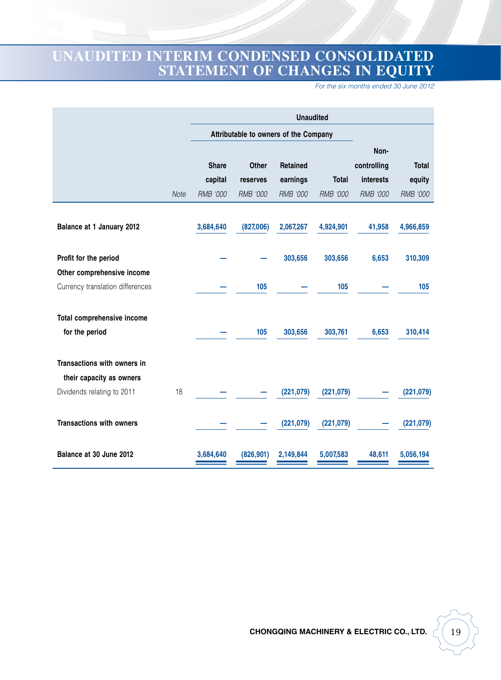### **UNAUDITED INTERIM CONDENSED CONSOLIDATED STATEMENT OF CHANGES IN EQUITY**

*For the six months ended 30 June 2012*

|                                  |      | <b>Unaudited</b> |                 |                                       |                 |                 |                 |
|----------------------------------|------|------------------|-----------------|---------------------------------------|-----------------|-----------------|-----------------|
|                                  |      |                  |                 | Attributable to owners of the Company |                 |                 |                 |
|                                  |      |                  |                 |                                       |                 | Non-            |                 |
|                                  |      | <b>Share</b>     | <b>Other</b>    | Retained                              |                 | controlling     | <b>Total</b>    |
|                                  |      | capital          | reserves        | earnings                              | <b>Total</b>    | interests       | equity          |
|                                  | Note | <b>RMB '000</b>  | <b>RMB '000</b> | RMB '000                              | <b>RMB '000</b> | <b>RMB '000</b> | <b>RMB '000</b> |
|                                  |      |                  |                 |                                       |                 |                 |                 |
| Balance at 1 January 2012        |      | 3,684,640        | (827,006)       | 2,067,267                             | 4,924,901       | 41,958          | 4,966,859       |
|                                  |      |                  |                 |                                       |                 |                 |                 |
| Profit for the period            |      |                  |                 | 303,656                               | 303,656         | 6,653           | 310,309         |
| Other comprehensive income       |      |                  |                 |                                       |                 |                 |                 |
| Currency translation differences |      |                  | 105             |                                       | 105             |                 | 105             |
| Total comprehensive income       |      |                  |                 |                                       |                 |                 |                 |
| for the period                   |      |                  | 105             | 303,656                               | 303,761         | 6,653           | 310,414         |
|                                  |      |                  |                 |                                       |                 |                 |                 |
| Transactions with owners in      |      |                  |                 |                                       |                 |                 |                 |
| their capacity as owners         |      |                  |                 |                                       |                 |                 |                 |
| Dividends relating to 2011       | 18   |                  |                 | (221, 079)                            | (221, 079)      |                 | (221, 079)      |
|                                  |      |                  |                 |                                       |                 |                 |                 |
| <b>Transactions with owners</b>  |      |                  |                 | (221, 079)                            | (221, 079)      |                 | (221, 079)      |
| Balance at 30 June 2012          |      | 3,684,640        | (826, 901)      | 2.149.844                             | 5,007,583       | 48,611          | 5,056,194       |
|                                  |      |                  |                 |                                       |                 |                 |                 |

**CHONGQING MACHINERY & ELECTRIC CO., LTD.**  $\begin{bmatrix} 19 \end{bmatrix}$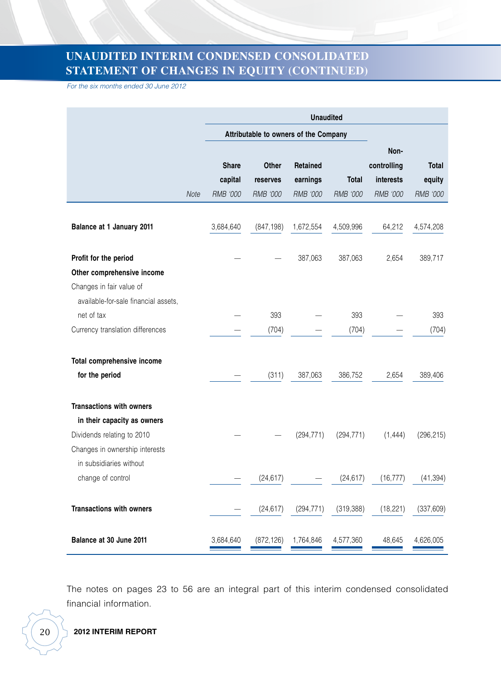### **UNAUDITED INTERIM CONDENSED CONSOLIDATED STATEMENT OF CHANGES IN EQUITY (CONTINUED)**

*For the six months ended 30 June 2012*

|                                      |      | <b>Unaudited</b>                      |                   |                      |              |                                  |                        |
|--------------------------------------|------|---------------------------------------|-------------------|----------------------|--------------|----------------------------------|------------------------|
|                                      |      | Attributable to owners of the Company |                   |                      |              |                                  |                        |
|                                      |      | <b>Share</b><br>capital               | Other<br>reserves | Retained<br>earnings | <b>Total</b> | Non-<br>controlling<br>interests | <b>Total</b><br>equity |
|                                      | Note | RMB '000                              | <b>RMB '000</b>   | <b>RMB '000</b>      | RMB '000     | <b>RMB '000</b>                  | <b>RMB '000</b>        |
| Balance at 1 January 2011            |      | 3,684,640                             | (847, 198)        | 1,672,554            | 4,509,996    | 64,212                           | 4,574,208              |
| Profit for the period                |      |                                       |                   | 387,063              | 387,063      | 2,654                            | 389,717                |
| Other comprehensive income           |      |                                       |                   |                      |              |                                  |                        |
| Changes in fair value of             |      |                                       |                   |                      |              |                                  |                        |
| available-for-sale financial assets, |      |                                       |                   |                      |              |                                  |                        |
| net of tax                           |      |                                       | 393               |                      | 393          |                                  | 393                    |
| Currency translation differences     |      |                                       | (704)             |                      | (704)        |                                  | (704)                  |
| Total comprehensive income           |      |                                       |                   |                      |              |                                  |                        |
| for the period                       |      |                                       | (311)             | 387,063              | 386,752      | 2,654                            | 389,406                |
| <b>Transactions with owners</b>      |      |                                       |                   |                      |              |                                  |                        |
| in their capacity as owners          |      |                                       |                   |                      |              |                                  |                        |
| Dividends relating to 2010           |      |                                       |                   | (294, 771)           | (294, 771)   | (1, 444)                         | (296, 215)             |
| Changes in ownership interests       |      |                                       |                   |                      |              |                                  |                        |
| in subsidiaries without              |      |                                       |                   |                      |              |                                  |                        |
| change of control                    |      |                                       | (24, 617)         |                      | (24, 617)    | (16, 777)                        | (41, 394)              |
| <b>Transactions with owners</b>      |      |                                       | (24, 617)         | (294, 771)           | (319, 388)   | (18, 221)                        | (337, 609)             |
| Balance at 30 June 2011              |      | 3,684,640                             | (872, 126)        | 1,764,846            | 4,577,360    | 48,645                           | 4,626,005              |

The notes on pages 23 to 56 are an integral part of this interim condensed consolidated financial information.

20 **2012 INTERIM REPORT**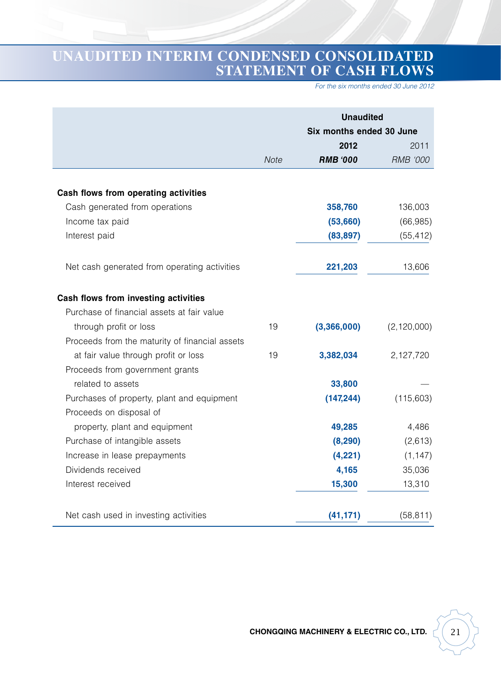## **UNAUDITED INTERIM CONDENSED CONSOLIDATED STATEMENT OF CASH FLOWS**

*For the six months ended 30 June 2012*

|                                                |             | <b>Unaudited</b><br>Six months ended 30 June |                 |
|------------------------------------------------|-------------|----------------------------------------------|-----------------|
|                                                |             | 2012                                         | 2011            |
|                                                | <b>Note</b> | <b>RMB '000</b>                              | <b>RMB '000</b> |
|                                                |             |                                              |                 |
| Cash flows from operating activities           |             |                                              |                 |
| Cash generated from operations                 |             | 358,760                                      | 136,003         |
| Income tax paid                                |             | (53,660)                                     | (66, 985)       |
| Interest paid                                  |             | (83, 897)                                    | (55, 412)       |
| Net cash generated from operating activities   |             | 221,203                                      | 13,606          |
| Cash flows from investing activities           |             |                                              |                 |
| Purchase of financial assets at fair value     |             |                                              |                 |
| through profit or loss                         | 19          | (3,366,000)                                  | (2, 120, 000)   |
| Proceeds from the maturity of financial assets |             |                                              |                 |
| at fair value through profit or loss           | 19          | 3,382,034                                    | 2,127,720       |
| Proceeds from government grants                |             |                                              |                 |
| related to assets                              |             | 33,800                                       |                 |
| Purchases of property, plant and equipment     |             | (147, 244)                                   | (115,603)       |
| Proceeds on disposal of                        |             |                                              |                 |
| property, plant and equipment                  |             | 49,285                                       | 4,486           |
| Purchase of intangible assets                  |             | (8, 290)                                     | (2,613)         |
| Increase in lease prepayments                  |             | (4,221)                                      | (1, 147)        |
| Dividends received                             |             | 4,165                                        | 35,036          |
| Interest received                              |             | 15,300                                       | 13,310          |
| Net cash used in investing activities          |             | (41, 171)                                    | (58, 811)       |